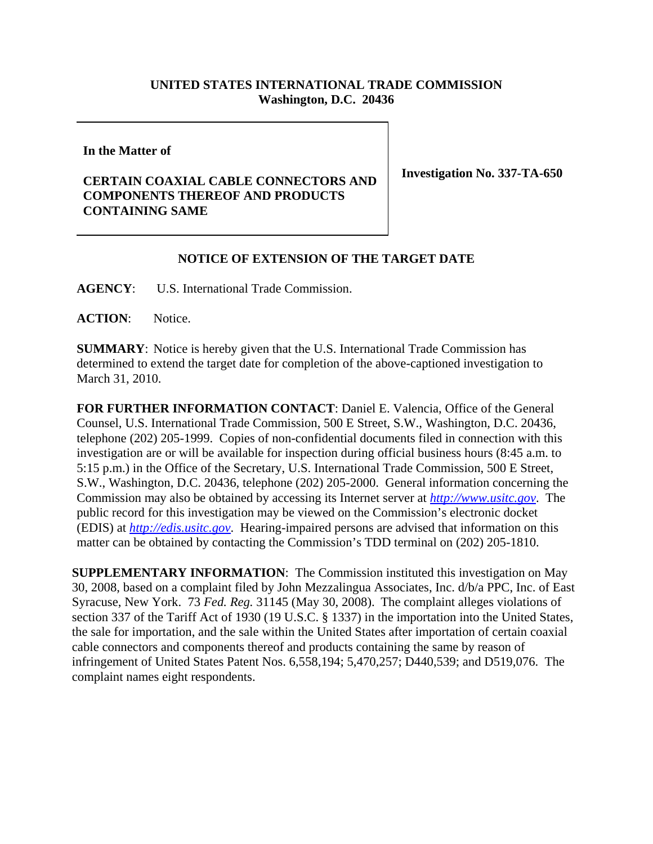## **UNITED STATES INTERNATIONAL TRADE COMMISSION Washington, D.C. 20436**

**In the Matter of** 

## **CERTAIN COAXIAL CABLE CONNECTORS AND COMPONENTS THEREOF AND PRODUCTS CONTAINING SAME**

**Investigation No. 337-TA-650**

## **NOTICE OF EXTENSION OF THE TARGET DATE**

**AGENCY**: U.S. International Trade Commission.

**ACTION**: Notice.

**SUMMARY**: Notice is hereby given that the U.S. International Trade Commission has determined to extend the target date for completion of the above-captioned investigation to March 31, 2010.

**FOR FURTHER INFORMATION CONTACT**: Daniel E. Valencia, Office of the General Counsel, U.S. International Trade Commission, 500 E Street, S.W., Washington, D.C. 20436, telephone (202) 205-1999. Copies of non-confidential documents filed in connection with this investigation are or will be available for inspection during official business hours (8:45 a.m. to 5:15 p.m.) in the Office of the Secretary, U.S. International Trade Commission, 500 E Street, S.W., Washington, D.C. 20436, telephone (202) 205-2000. General information concerning the Commission may also be obtained by accessing its Internet server at *http://www.usitc.gov*. The public record for this investigation may be viewed on the Commission's electronic docket (EDIS) at *http://edis.usitc.gov*. Hearing-impaired persons are advised that information on this matter can be obtained by contacting the Commission's TDD terminal on (202) 205-1810.

**SUPPLEMENTARY INFORMATION**: The Commission instituted this investigation on May 30, 2008, based on a complaint filed by John Mezzalingua Associates, Inc. d/b/a PPC, Inc. of East Syracuse, New York. 73 *Fed. Reg.* 31145 (May 30, 2008). The complaint alleges violations of section 337 of the Tariff Act of 1930 (19 U.S.C. § 1337) in the importation into the United States, the sale for importation, and the sale within the United States after importation of certain coaxial cable connectors and components thereof and products containing the same by reason of infringement of United States Patent Nos. 6,558,194; 5,470,257; D440,539; and D519,076. The complaint names eight respondents.